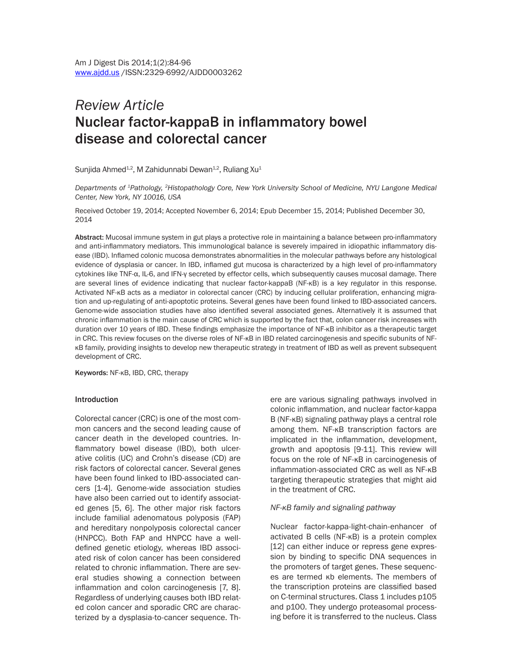# *Review Article* Nuclear factor-kappaB in inflammatory bowel disease and colorectal cancer

Sunjida Ahmed<sup>1,2</sup>, M Zahidunnabi Dewan<sup>1,2</sup>, Ruliang Xu<sup>1</sup>

*Departments of 1Pathology, 2Histopathology Core, New York University School of Medicine, NYU Langone Medical Center, New York, NY 10016, USA*

Received October 19, 2014; Accepted November 6, 2014; Epub December 15, 2014; Published December 30, 2014

Abstract: Mucosal immune system in gut plays a protective role in maintaining a balance between pro-inflammatory and anti-inflammatory mediators. This immunological balance is severely impaired in idiopathic inflammatory disease (IBD). Inflamed colonic mucosa demonstrates abnormalities in the molecular pathways before any histological evidence of dysplasia or cancer. In IBD, inflamed gut mucosa is characterized by a high level of pro-inflammatory cytokines like TNF-α, IL-6, and IFN-γ secreted by effector cells, which subsequently causes mucosal damage. There are several lines of evidence indicating that nuclear factor-kappaB (NF-κB) is a key regulator in this response. Activated NF-κB acts as a mediator in colorectal cancer (CRC) by inducing cellular proliferation, enhancing migration and up-regulating of anti-apoptotic proteins. Several genes have been found linked to IBD-associated cancers. Genome-wide association studies have also identified several associated genes. Alternatively it is assumed that chronic inflammation is the main cause of CRC which is supported by the fact that, colon cancer risk increases with duration over 10 years of IBD. These findings emphasize the importance of NF-κB inhibitor as a therapeutic target in CRC. This review focuses on the diverse roles of NF-κB in IBD related carcinogenesis and specific subunits of NFκB family, providing insights to develop new therapeutic strategy in treatment of IBD as well as prevent subsequent development of CRC.

Keywords: NF-κB, IBD, CRC, therapy

#### Introduction

Colorectal cancer (CRC) is one of the most common cancers and the second leading cause of cancer death in the developed countries. Inflammatory bowel disease (IBD), both ulcerative colitis (UC) and Crohn's disease (CD) are risk factors of colorectal cancer. Several genes have been found linked to IBD-associated cancers [1-4]. Genome-wide association studies have also been carried out to identify associated genes [5, 6]. The other major risk factors include familial adenomatous polyposis (FAP) and hereditary nonpolyposis colorectal cancer (HNPCC). Both FAP and HNPCC have a welldefined genetic etiology, whereas IBD associated risk of colon cancer has been considered related to chronic inflammation. There are several studies showing a connection between inflammation and colon carcinogenesis [7, 8]. Regardless of underlying causes both IBD related colon cancer and sporadic CRC are characterized by a dysplasia-to-cancer sequence. There are various signaling pathways involved in colonic inflammation, and nuclear factor-kappa B (NF-κB) signaling pathway plays a central role among them. NF-κB transcription factors are implicated in the inflammation, development, growth and apoptosis [9-11]. This review will focus on the role of NF-κB in carcinogenesis of inflammation-associated CRC as well as NF-κB targeting therapeutic strategies that might aid in the treatment of CRC.

#### *NF-κB family and signaling pathway*

Nuclear factor-kappa-light-chain-enhancer of activated B cells (NF-κB) is a protein complex [12] can either induce or repress gene expression by binding to specific DNA sequences in the promoters of target genes. These sequences are termed κb elements. The members of the transcription proteins are classified based on C-terminal structures. Class 1 includes p105 and p100. They undergo proteasomal processing before it is transferred to the nucleus. Class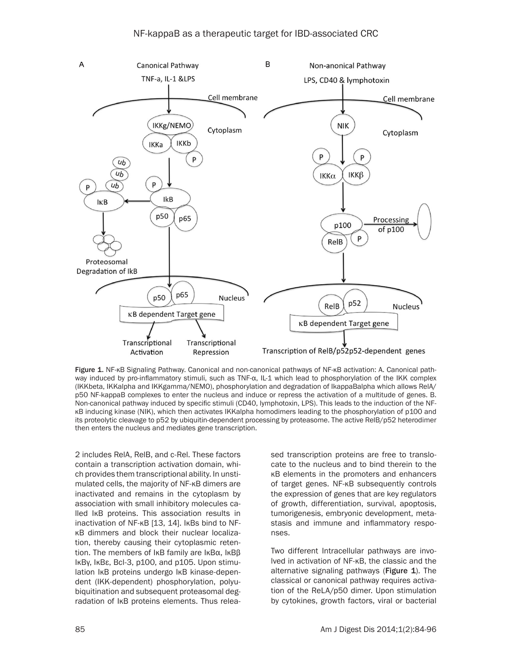

Figure 1. NF-κB Signaling Pathway. Canonical and non-canonical pathways of NF-κB activation: A. Canonical pathway induced by pro-inflammatory stimuli, such as TNF-α, IL-1 which lead to phosphorylation of the IKK complex (IKKbeta, IKKalpha and IKKgamma/NEMO), phosphorylation and degradation of IkappaBalpha which allows RelA/ p50 NF-kappaB complexes to enter the nucleus and induce or repress the activation of a multitude of genes. B. Non-canonical pathway induced by specific stimuli (CD40, lymphotoxin, LPS). This leads to the induction of the NFκB inducing kinase (NIK), which then activates IKKalpha homodimers leading to the phosphorylation of p100 and its proteolytic cleavage to p52 by ubiquitin-dependent processing by proteasome. The active RelB/p52 heterodimer then enters the nucleus and mediates gene transcription.

2 includes RelA, RelB, and c-Rel. These factors contain a transcription activation domain, which provides them transcriptional ability. In unstimulated cells, the majority of NF-κB dimers are inactivated and remains in the cytoplasm by association with small inhibitory molecules called IκB proteins. This association results in inactivation of NF-κB [13, 14]. IκBs bind to NFκB dimmers and block their nuclear localization, thereby causing their cytoplasmic retention. The members of IκB family are IκBα, IκBβ IκBγ, IκBε, Bcl-3, p100, and p105. Upon stimulation IκB proteins undergo IκB kinase-dependent (IKK-dependent) phosphorylation, polyubiquitination and subsequent proteasomal degradation of IκB proteins elements. Thus released transcription proteins are free to translocate to the nucleus and to bind therein to the κB elements in the promoters and enhancers of target genes. NF-κB subsequently controls the expression of genes that are key regulators of growth, differentiation, survival, apoptosis, tumorigenesis, embryonic development, metastasis and immune and inflammatory responses.

Two different Intracellular pathways are involved in activation of NF-κB, the classic and the alternative signaling pathways (Figure 1). The classical or canonical pathway requires activation of the ReLA/p50 dimer. Upon stimulation by cytokines, growth factors, viral or bacterial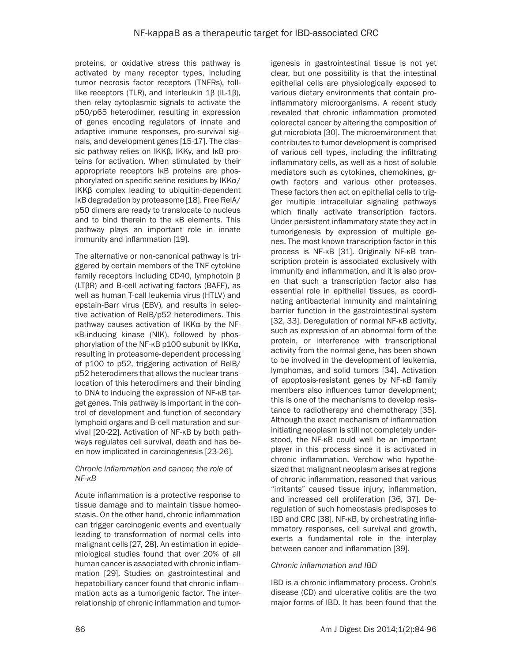proteins, or oxidative stress this pathway is activated by many receptor types, including tumor necrosis factor receptors (TNFRs), tolllike receptors (TLR), and interleukin 1β (IL-1β), then relay cytoplasmic signals to activate the p50/p65 heterodimer, resulting in expression of genes encoding regulators of innate and adaptive immune responses, pro-survival signals, and development genes [15-17]. The classic pathway relies on IKKβ, IKKγ, and IκB proteins for activation. When stimulated by their appropriate receptors IκB proteins are phosphorylated on specific serine residues by IKKα/ IKKβ complex leading to ubiquitin-dependent IκB degradation by proteasome [18]. Free RelA/ p50 dimers are ready to translocate to nucleus and to bind therein to the κB elements. This pathway plays an important role in innate immunity and inflammation [19].

The alternative or non-canonical pathway is triggered by certain members of the TNF cytokine family receptors including CD40, lymphotoin β (LTβR) and B-cell activating factors (BAFF), as well as human T-call leukemia virus (HTLV) and epstain-Barr virus (EBV), and results in selective activation of RelB/p52 heterodimers. This pathway causes activation of IKKα by the NFκB-inducing kinase (NIK), followed by phosphorylation of the NF-κB p100 subunit by IKKα, resulting in proteasome-dependent processing of p100 to p52, triggering activation of RelB/ p52 heterodimers that allows the nuclear translocation of this heterodimers and their binding to DNA to inducing the expression of NF-κB target genes. This pathway is important in the control of development and function of secondary lymphoid organs and B-cell maturation and survival [20-22]. Activation of NF-κB by both pathways regulates cell survival, death and has been now implicated in carcinogenesis [23-26].

## *Chronic inflammation and cancer, the role of NF-κB*

Acute inflammation is a protective response to tissue damage and to maintain tissue homeostasis. On the other hand, chronic inflammation can trigger carcinogenic events and eventually leading to transformation of normal cells into malignant cells [27, 28]. An estimation in epidemiological studies found that over 20% of all human cancer is associated with chronic inflammation [29]. Studies on gastrointestinal and hepatobilliary cancer found that chronic inflammation acts as a tumorigenic factor. The interrelationship of chronic inflammation and tumorigenesis in gastrointestinal tissue is not yet clear, but one possibility is that the intestinal epithelial cells are physiologically exposed to various dietary environments that contain proinflammatory microorganisms. A recent study revealed that chronic inflammation promoted colorectal cancer by altering the composition of gut microbiota [30]. The microenvironment that contributes to tumor development is comprised of various cell types, including the infiltrating inflammatory cells, as well as a host of soluble mediators such as cytokines, chemokines, growth factors and various other proteases. These factors then act on epithelial cells to trigger multiple intracellular signaling pathways which finally activate transcription factors. Under persistent inflammatory state they act in tumorigenesis by expression of multiple genes. The most known transcription factor in this process is NF-κB [31]. Originally NF-κB transcription protein is associated exclusively with immunity and inflammation, and it is also proven that such a transcription factor also has essential role in epithelial tissues, as coordinating antibacterial immunity and maintaining barrier function in the gastrointestinal system [32, 33]. Deregulation of normal NF-κB activity, such as expression of an abnormal form of the protein, or interference with transcriptional activity from the normal gene, has been shown to be involved in the development of leukemia, lymphomas, and solid tumors [34]. Activation of apoptosis-resistant genes by NF-κB family members also influences tumor development; this is one of the mechanisms to develop resistance to radiotherapy and chemotherapy [35]. Although the exact mechanism of inflammation initiating neoplasm is still not completely understood, the NF-κB could well be an important player in this process since it is activated in chronic inflammation. Verchow who hypothesized that malignant neoplasm arises at regions of chronic inflammation, reasoned that various "irritants" caused tissue injury, inflammation, and increased cell proliferation [36, 37]. Deregulation of such homeostasis predisposes to IBD and CRC [38]. NF-κB, by orchestrating inflammatory responses, cell survival and growth, exerts a fundamental role in the interplay between cancer and inflammation [39].

## *Chronic inflammation and IBD*

IBD is a chronic inflammatory process. Crohn's disease (CD) and ulcerative colitis are the two major forms of IBD. It has been found that the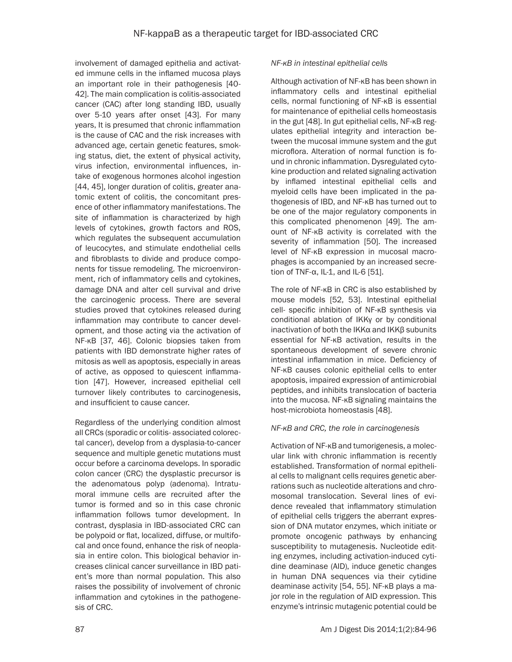involvement of damaged epithelia and activated immune cells in the inflamed mucosa plays an important role in their pathogenesis [40- 42]. The main complication is colitis-associated cancer (CAC) after long standing IBD, usually over 5-10 years after onset [43]. For many years, It is presumed that chronic inflammation is the cause of CAC and the risk increases with advanced age, certain genetic features, smoking status, diet, the extent of physical activity, virus infection, environmental influences, intake of exogenous hormones alcohol ingestion [44, 45], longer duration of colitis, greater anatomic extent of colitis, the concomitant presence of other inflammatory manifestations. The site of inflammation is characterized by high levels of cytokines, growth factors and ROS, which regulates the subsequent accumulation of leucocytes, and stimulate endothelial cells and fibroblasts to divide and produce components for tissue remodeling. The microenvironment, rich of inflammatory cells and cytokines, damage DNA and alter cell survival and drive the carcinogenic process. There are several studies proved that cytokines released during inflammation may contribute to cancer development, and those acting via the activation of NF-κB [37, 46]. Colonic biopsies taken from patients with IBD demonstrate higher rates of mitosis as well as apoptosis, especially in areas of active, as opposed to quiescent inflammation [47]. However, increased epithelial cell turnover likely contributes to carcinogenesis, and insufficient to cause cancer.

Regardless of the underlying condition almost all CRCs (sporadic or colitis- associated colorectal cancer), develop from a dysplasia-to-cancer sequence and multiple genetic mutations must occur before a carcinoma develops. In sporadic colon cancer (CRC) the dysplastic precursor is the adenomatous polyp (adenoma). Intratumoral immune cells are recruited after the tumor is formed and so in this case chronic inflammation follows tumor development. In contrast, dysplasia in IBD-associated CRC can be polypoid or flat, localized, diffuse, or multifocal and once found, enhance the risk of neoplasia in entire colon. This biological behavior increases clinical cancer surveillance in IBD patient's more than normal population. This also raises the possibility of involvement of chronic inflammation and cytokines in the pathogenesis of CRC.

## *NF-κB in intestinal epithelial cells*

Although activation of NF-κB has been shown in inflammatory cells and intestinal epithelial cells, normal functioning of NF-κB is essential for maintenance of epithelial cells homeostasis in the gut [48]. In gut epithelial cells, NF-κB regulates epithelial integrity and interaction between the mucosal immune system and the gut microflora. Alteration of normal function is found in chronic inflammation. Dysregulated cytokine production and related signaling activation by inflamed intestinal epithelial cells and myeloid cells have been implicated in the pathogenesis of IBD, and NF-κB has turned out to be one of the major regulatory components in this complicated phenomenon [49]. The amount of NF-κB activity is correlated with the severity of inflammation [50]. The increased level of NF-κB expression in mucosal macrophages is accompanied by an increased secretion of TNF- $\alpha$ , IL-1, and IL-6 [51].

The role of NF-κB in CRC is also established by mouse models [52, 53]. Intestinal epithelial cell- specific inhibition of NF-κB synthesis via conditional ablation of IKKγ or by conditional inactivation of both the IKKα and IKKβ subunits essential for NF-κB activation, results in the spontaneous development of severe chronic intestinal inflammation in mice. Deficiency of NF-κB causes colonic epithelial cells to enter apoptosis, impaired expression of antimicrobial peptides, and inhibits translocation of bacteria into the mucosa. NF-κB signaling maintains the host-microbiota homeostasis [48].

## *NF-κB and CRC, the role in carcinogenesis*

Activation of NF-κB and tumorigenesis, a molecular link with chronic inflammation is recently established. Transformation of normal epithelial cells to malignant cells requires genetic aberrations such as nucleotide alterations and chromosomal translocation. Several lines of evidence revealed that inflammatory stimulation of epithelial cells triggers the aberrant expression of DNA mutator enzymes, which initiate or promote oncogenic pathways by enhancing susceptibility to mutagenesis. Nucleotide editing enzymes, including activation-induced cytidine deaminase (AID), induce genetic changes in human DNA sequences via their cytidine deaminase activity [54, 55]. NF-κB plays a major role in the regulation of AID expression. This enzyme's intrinsic mutagenic potential could be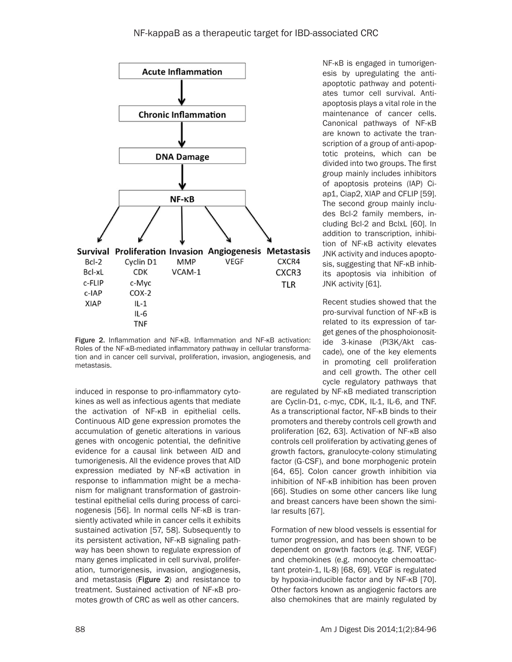

Figure 2. Inflammation and NF-κB. Inflammation and NF-κB activation: Roles of the NF-κB-mediated inflammatory pathway in cellular transformation and in cancer cell survival, proliferation, invasion, angiogenesis, and metastasis.

induced in response to pro-inflammatory cytokines as well as infectious agents that mediate the activation of NF-κB in epithelial cells. Continuous AID gene expression promotes the accumulation of genetic alterations in various genes with oncogenic potential, the definitive evidence for a causal link between AID and tumorigenesis. All the evidence proves that AID expression mediated by NF-κB activation in response to inflammation might be a mechanism for malignant transformation of gastrointestinal epithelial cells during process of carcinogenesis [56]. In normal cells NF-κB is transiently activated while in cancer cells it exhibits sustained activation [57, 58]. Subsequently to its persistent activation, NF-κB signaling pathway has been shown to regulate expression of many genes implicated in cell survival, proliferation, tumorigenesis, invasion, angiogenesis, and metastasis (Figure 2) and resistance to treatment. Sustained activation of NF-κB promotes growth of CRC as well as other cancers.

NF-κB is engaged in tumorigenesis by upregulating the antiapoptotic pathway and potentiates tumor cell survival. Antiapoptosis plays a vital role in the maintenance of cancer cells. Canonical pathways of NF-κB are known to activate the transcription of a group of anti-apoptotic proteins, which can be divided into two groups. The first group mainly includes inhibitors of apoptosis proteins (IAP) Ciap1, Ciap2, XIAP and CFLIP [59]. The second group mainly includes Bcl-2 family members, including Bcl-2 and BclxL [60]. In addition to transcription, inhibition of NF-κB activity elevates JNK activity and induces apoptosis, suggesting that NF-κB inhibits apoptosis via inhibition of JNK activity [61].

Recent studies showed that the pro-survival function of NF-κB is related to its expression of target genes of the phosphoionositide 3-kinase (PI3K/Akt cascade), one of the key elements in promoting cell proliferation and cell growth. The other cell cycle regulatory pathways that

are regulated by NF-κB mediated transcription are Cyclin-D1, c-myc, CDK, IL-1, IL-6, and TNF. As a transcriptional factor, NF-κB binds to their promoters and thereby controls cell growth and proliferation [62, 63]. Activation of NF-κB also controls cell proliferation by activating genes of growth factors, granulocyte-colony stimulating factor (G-CSF), and bone morphogenic protein [64, 65]. Colon cancer growth inhibition via inhibition of NF-κB inhibition has been proven [66]. Studies on some other cancers like lung and breast cancers have been shown the similar results [67].

Formation of new blood vessels is essential for tumor progression, and has been shown to be dependent on growth factors (e.g. TNF, VEGF) and chemokines (e.g. monocyte chemoattactant protein-1, IL-8) [68, 69]. VEGF is regulated by hypoxia-inducible factor and by NF-κB [70]. Other factors known as angiogenic factors are also chemokines that are mainly regulated by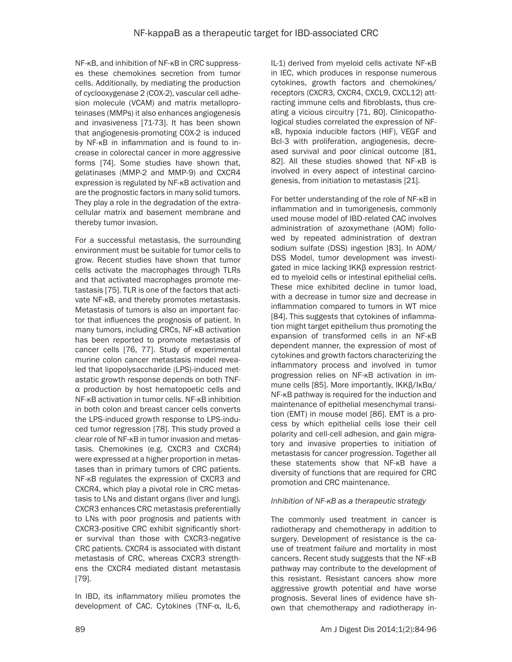NF-κB, and inhibition of NF-κB in CRC suppresses these chemokines secretion from tumor cells. Additionally, by mediating the production of cyclooxygenase 2 (COX-2), vascular cell adhesion molecule (VCAM) and matrix metalloproteinases (MMPs) it also enhances angiogenesis and invasiveness [71-73]. It has been shown that angiogenesis-promoting COX-2 is induced by NF-κB in inflammation and is found to increase in colorectal cancer in more aggressive forms [74]. Some studies have shown that, gelatinases (MMP-2 and MMP-9) and CXCR4 expression is regulated by NF-κB activation and are the prognostic factors in many solid tumors. They play a role in the degradation of the extracellular matrix and basement membrane and thereby tumor invasion.

For a successful metastasis, the surrounding environment must be suitable for tumor cells to grow. Recent studies have shown that tumor cells activate the macrophages through TLRs and that activated macrophages promote metastasis [75]. TLR is one of the factors that activate NF-κB, and thereby promotes metastasis. Metastasis of tumors is also an important factor that influences the prognosis of patient. In many tumors, including CRCs, NF-κB activation has been reported to promote metastasis of cancer cells [76, 77]. Study of experimental murine colon cancer metastasis model revealed that lipopolysaccharide (LPS)-induced metastatic growth response depends on both TNFα production by host hematopoetic cells and NF-κB activation in tumor cells. NF-κB inhibition in both colon and breast cancer cells converts the LPS-induced growth response to LPS-induced tumor regression [78]. This study proved a clear role of NF-κB in tumor invasion and metastasis. Chemokines (e.g. CXCR3 and CXCR4) were expressed at a higher proportion in metastases than in primary tumors of CRC patients. NF-κB regulates the expression of CXCR3 and CXCR4, which play a pivotal role in CRC metastasis to LNs and distant organs (liver and lung). CXCR3 enhances CRC metastasis preferentially to LNs with poor prognosis and patients with CXCR3-positive CRC exhibit significantly shorter survival than those with CXCR3-negative CRC patients. CXCR4 is associated with distant metastasis of CRC, whereas CXCR3 strengthens the CXCR4 mediated distant metastasis [79].

In IBD, its inflammatory milieu promotes the development of CAC. Cytokines (TNF-α, IL-6, IL-1) derived from myeloid cells activate NF-κB in IEC, which produces in response numerous cytokines, growth factors and chemokines/ receptors (CXCR3, CXCR4, CXCL9, CXCL12) attracting immune cells and fibroblasts, thus creating a vicious circuitry [71, 80]. Clinicopathological studies correlated the expression of NFκB, hypoxia inducible factors (HIF), VEGF and Bcl-3 with proliferation, angiogenesis, decreased survival and poor clinical outcome [81, 82]. All these studies showed that NF-κB is involved in every aspect of intestinal carcinogenesis, from initiation to metastasis [21].

For better understanding of the role of NF-κB in inflammation and in tumorigenesis, commonly used mouse model of IBD-related CAC involves administration of azoxymethane (AOM) followed by repeated administration of dextran sodium sulfate (DSS) ingestion [83]. In AOM/ DSS Model, tumor development was investigated in mice lacking IKKβ expression restricted to myeloid cells or intestinal epithelial cells. These mice exhibited decline in tumor load, with a decrease in tumor size and decrease in inflammation compared to tumors in WT mice [84]. This suggests that cytokines of inflammation might target epithelium thus promoting the expansion of transformed cells in an NF-κB dependent manner, the expression of most of cytokines and growth factors characterizing the inflammatory process and involved in tumor progression relies on NF-κB activation in immune cells [85]. More importantly, IKKβ/IκBα/ NF-κB pathway is required for the induction and maintenance of epithelial mesenchymal transition (EMT) in mouse model [86]. EMT is a process by which epithelial cells lose their cell polarity and cell-cell adhesion, and gain migratory and invasive properties to initiation of metastasis for cancer progression. Together all these statements show that NF-κB have a diversity of functions that are required for CRC promotion and CRC maintenance.

## *Inhibition of NF-κB as a therapeutic strategy*

The commonly used treatment in cancer is radiotherapy and chemotherapy in addition to surgery. Development of resistance is the cause of treatment failure and mortality in most cancers. Recent study suggests that the NF-κB pathway may contribute to the development of this resistant. Resistant cancers show more aggressive growth potential and have worse prognosis. Several lines of evidence have shown that chemotherapy and radiotherapy in-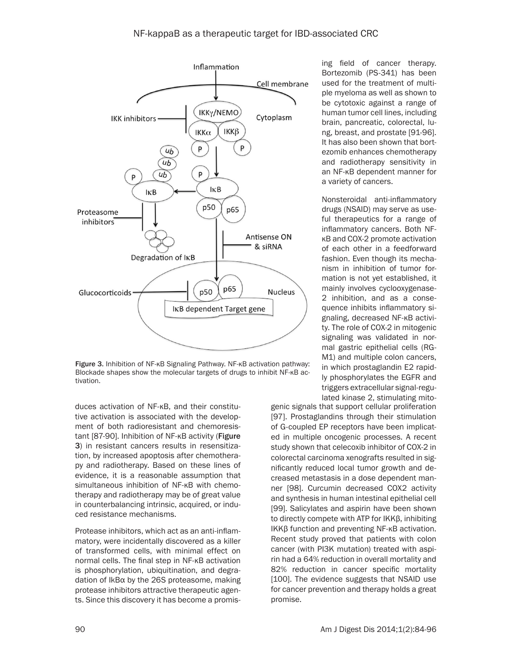

Figure 3. Inhibition of NF-κB Signaling Pathway. NF-κB activation pathway: Blockade shapes show the molecular targets of drugs to inhibit NF-κB activation.

duces activation of NF-κB, and their constitutive activation is associated with the development of both radioresistant and chemoresistant [87-90]. Inhibition of NF-κB activity (Figure 3) in resistant cancers results in resensitization, by increased apoptosis after chemotherapy and radiotherapy. Based on these lines of evidence, it is a reasonable assumption that simultaneous inhibition of NF-κB with chemotherapy and radiotherapy may be of great value in counterbalancing intrinsic, acquired, or induced resistance mechanisms.

Protease inhibitors, which act as an anti-inflammatory, were incidentally discovered as a killer of transformed cells, with minimal effect on normal cells. The final step in NF-κB activation is phosphorylation, ubiquitination, and degradation of IkBα by the 26S proteasome, making protease inhibitors attractive therapeutic agents. Since this discovery it has become a promis-

ing field of cancer therapy. Bortezomib (PS-341) has been used for the treatment of multiple myeloma as well as shown to be cytotoxic against a range of human tumor cell lines, including brain, pancreatic, colorectal, lung, breast, and prostate [91-96]. It has also been shown that bortezomib enhances chemotherapy and radiotherapy sensitivity in an NF-κB dependent manner for a variety of cancers.

Nonsteroidal anti-inflammatory drugs (NSAID) may serve as useful therapeutics for a range of inflammatory cancers. Both NFκB and COX-2 promote activation of each other in a feedforward fashion. Even though its mechanism in inhibition of tumor formation is not yet established, it mainly involves cyclooxygenase-2 inhibition, and as a consequence inhibits inflammatory signaling, decreased NF-κB activity. The role of COX-2 in mitogenic signaling was validated in normal gastric epithelial cells (RG-M1) and multiple colon cancers, in which prostaglandin E2 rapidly phosphorylates the EGFR and triggers extracellular signal-regulated kinase 2, stimulating mito-

genic signals that support cellular proliferation [97]. Prostaglandins through their stimulation of G-coupled EP receptors have been implicated in multiple oncogenic processes. A recent study shown that celecoxib inhibitor of COX-2 in colorectal carcinoma xenografts resulted in significantly reduced local tumor growth and decreased metastasis in a dose dependent manner [98]. Curcumin decreased COX2 activity and synthesis in human intestinal epithelial cell [99]. Salicylates and aspirin have been shown to directly compete with ATP for IKKβ, inhibiting IKKβ function and preventing NF-κB activation. Recent study proved that patients with colon cancer (with PI3K mutation) treated with aspirin had a 64% reduction in overall mortality and 82% reduction in cancer specific mortality [100]. The evidence suggests that NSAID use for cancer prevention and therapy holds a great promise.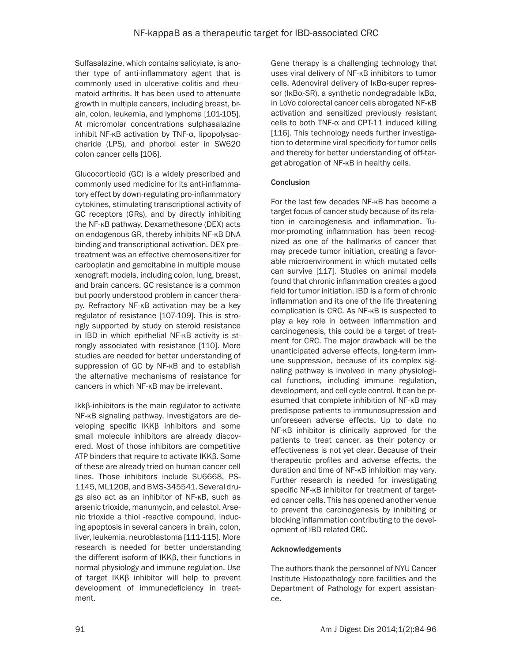Sulfasalazine, which contains salicylate, is another type of anti-inflammatory agent that is commonly used in ulcerative colitis and rheumatoid arthritis. It has been used to attenuate growth in multiple cancers, including breast, brain, colon, leukemia, and lymphoma [101-105]. At micromolar concentrations sulphasalazine inhibit NF-κB activation by TNF-α, lipopolysaccharide (LPS), and phorbol ester in SW620 colon cancer cells [106].

Glucocorticoid (GC) is a widely prescribed and commonly used medicine for its anti-inflammatory effect by down-regulating pro-inflammatory cytokines, stimulating transcriptional activity of GC receptors (GRs), and by directly inhibiting the NF-κB pathway. Dexamethesone (DEX) acts on endogenous GR, thereby inhibits NF-κB DNA binding and transcriptional activation. DEX pretreatment was an effective chemosensitizer for carboplatin and gemcitabine in multiple mouse xenograft models, including colon, lung, breast, and brain cancers. GC resistance is a common but poorly understood problem in cancer therapy. Refractory NF-κB activation may be a key regulator of resistance [107-109]. This is strongly supported by study on steroid resistance in IBD in which epithelial NF-κB activity is strongly associated with resistance [110]. More studies are needed for better understanding of suppression of GC by NF-κB and to establish the alternative mechanisms of resistance for cancers in which NF-κB may be irrelevant.

Ikkβ-inhibitors is the main regulator to activate NF-κB signaling pathway. Investigators are developing specific IKKβ inhibitors and some small molecule inhibitors are already discovered. Most of those inhibitors are competitive ATP binders that require to activate IKKβ. Some of these are already tried on human cancer cell lines. Those inhibitors include SU6668, PS-1145, ML120B, and BMS-345541. Several drugs also act as an inhibitor of NF-κB, such as arsenic trioxide, manumycin, and celastol. Arsenic trioxide a thiol -reactive compound, inducing apoptosis in several cancers in brain, colon, liver, leukemia, neuroblastoma [111-115]. More research is needed for better understanding the different isoform of IKKβ, their functions in normal physiology and immune regulation. Use of target IKKβ inhibitor will help to prevent development of immunedeficiency in treatment.

Gene therapy is a challenging technology that uses viral delivery of NF-κB inhibitors to tumor cells. Adenoviral delivery of IκBα-super repressor (IκBα-SR), a synthetic nondegradable IκBα, in LoVo colorectal cancer cells abrogated NF-κB activation and sensitized previously resistant cells to both TNF-α and CPT-11 induced killing [116]. This technology needs further investigation to determine viral specificity for tumor cells and thereby for better understanding of off-target abrogation of NF-κB in healthy cells.

# **Conclusion**

For the last few decades NF-κB has become a target focus of cancer study because of its relation in carcinogenesis and inflammation. Tumor-promoting inflammation has been recognized as one of the hallmarks of cancer that may precede tumor initiation, creating a favorable microenvironment in which mutated cells can survive [117]. Studies on animal models found that chronic inflammation creates a good field for tumor initiation. IBD is a form of chronic inflammation and its one of the life threatening complication is CRC. As NF-κB is suspected to play a key role in between inflammation and carcinogenesis, this could be a target of treatment for CRC. The major drawback will be the unanticipated adverse effects, long-term immune suppression, because of its complex signaling pathway is involved in many physiological functions, including immune regulation, development, and cell cycle control. It can be presumed that complete inhibition of NF-κB may predispose patients to immunosupression and unforeseen adverse effects. Up to date no NF-κB inhibitor is clinically approved for the patients to treat cancer, as their potency or effectiveness is not yet clear. Because of their therapeutic profiles and adverse effects, the duration and time of NF-κB inhibition may vary. Further research is needed for investigating specific NF-κB inhibitor for treatment of targeted cancer cells. This has opened another venue to prevent the carcinogenesis by inhibiting or blocking inflammation contributing to the development of IBD related CRC.

# Acknowledgements

The authors thank the personnel of NYU Cancer Institute Histopathology core facilities and the Department of Pathology for expert assistance.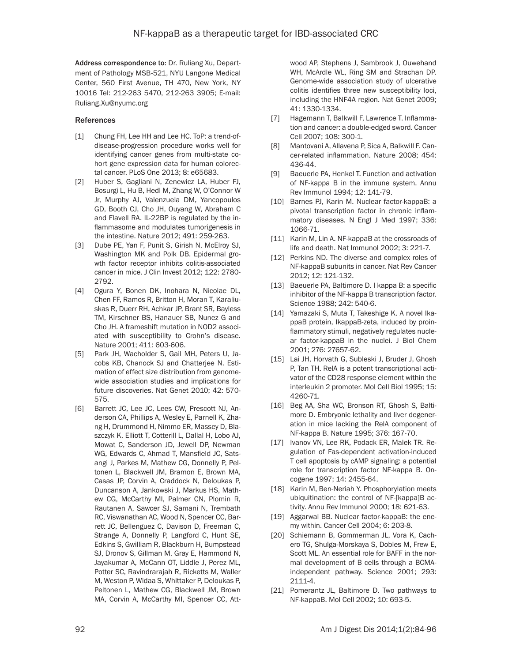Address correspondence to: Dr. Ruliang Xu, Department of Pathology MSB-521, NYU Langone Medical Center, 560 First Avenue, TH 470, New York, NY 10016 Tel: 212-263 5470, 212-263 3905; E-mail: Ruliang.Xu@nyumc.org

### References

- [1] Chung FH, Lee HH and Lee HC. ToP: a trend-ofdisease-progression procedure works well for identifying cancer genes from multi-state cohort gene expression data for human colorectal cancer. PLoS One 2013; 8: e65683.
- [2] Huber S, Gagliani N, Zenewicz LA, Huber FJ, Bosurgi L, Hu B, Hedl M, Zhang W, O'Connor W Jr, Murphy AJ, Valenzuela DM, Yancopoulos GD, Booth CJ, Cho JH, Ouyang W, Abraham C and Flavell RA. IL-22BP is regulated by the inflammasome and modulates tumorigenesis in the intestine. Nature 2012; 491: 259-263.
- [3] Dube PE, Yan F, Punit S, Girish N, McElroy SJ, Washington MK and Polk DB. Epidermal growth factor receptor inhibits colitis-associated cancer in mice. J Clin Invest 2012; 122: 2780- 2792.
- [4] Ogura Y, Bonen DK, Inohara N, Nicolae DL, Chen FF, Ramos R, Britton H, Moran T, Karaliuskas R, Duerr RH, Achkar JP, Brant SR, Bayless TM, Kirschner BS, Hanauer SB, Nunez G and Cho JH. A frameshift mutation in NOD2 associated with susceptibility to Crohn's disease. Nature 2001; 411: 603-606.
- [5] Park JH, Wacholder S, Gail MH, Peters U, Jacobs KB, Chanock SJ and Chatterjee N. Estimation of effect size distribution from genomewide association studies and implications for future discoveries. Nat Genet 2010; 42: 570- 575.
- [6] Barrett JC, Lee JC, Lees CW, Prescott NJ, Anderson CA, Phillips A, Wesley E, Parnell K, Zhang H, Drummond H, Nimmo ER, Massey D, Blaszczyk K, Elliott T, Cotterill L, Dallal H, Lobo AJ, Mowat C, Sanderson JD, Jewell DP, Newman WG, Edwards C, Ahmad T, Mansfield JC, Satsangi J, Parkes M, Mathew CG, Donnelly P, Peltonen L, Blackwell JM, Bramon E, Brown MA, Casas JP, Corvin A, Craddock N, Deloukas P, Duncanson A, Jankowski J, Markus HS, Mathew CG, McCarthy MI, Palmer CN, Plomin R, Rautanen A, Sawcer SJ, Samani N, Trembath RC, Viswanathan AC, Wood N, Spencer CC, Barrett JC, Bellenguez C, Davison D, Freeman C, Strange A, Donnelly P, Langford C, Hunt SE, Edkins S, Gwilliam R, Blackburn H, Bumpstead SJ, Dronov S, Gillman M, Gray E, Hammond N, Jayakumar A, McCann OT, Liddle J, Perez ML, Potter SC, Ravindrarajah R, Ricketts M, Waller M, Weston P, Widaa S, Whittaker P, Deloukas P, Peltonen L, Mathew CG, Blackwell JM, Brown MA, Corvin A, McCarthy MI, Spencer CC, Att-

wood AP, Stephens J, Sambrook J, Ouwehand WH, McArdle WL, Ring SM and Strachan DP. Genome-wide association study of ulcerative colitis identifies three new susceptibility loci, including the HNF4A region. Nat Genet 2009; 41: 1330-1334.

- [7] Hagemann T, Balkwill F, Lawrence T. Inflammation and cancer: a double-edged sword. Cancer Cell 2007; 108: 300-1.
- [8] Mantovani A, Allavena P, Sica A, Balkwill F. Cancer-related inflammation. Nature 2008; 454: 436-44.
- [9] Baeuerle PA, Henkel T. Function and activation of NF-kappa B in the immune system. Annu Rev Immunol 1994; 12: 141-79.
- [10] Barnes PJ, Karin M. Nuclear factor-kappaB: a pivotal transcription factor in chronic inflammatory diseases. N Engl J Med 1997; 336: 1066-71.
- [11] Karin M, Lin A. NF-kappaB at the crossroads of life and death. Nat Immunol 2002; 3: 221-7.
- [12] Perkins ND. The diverse and complex roles of NF-kappaB subunits in cancer. Nat Rev Cancer 2012; 12: 121-132.
- [13] Baeuerle PA, Baltimore D. I kappa B: a specific inhibitor of the NF-kappa B transcription factor. Science 1988; 242: 540-6.
- [14] Yamazaki S, Muta T, Takeshige K. A novel IkappaB protein, IkappaB-zeta, induced by proinflammatory stimuli, negatively regulates nuclear factor-kappaB in the nuclei. J Biol Chem 2001; 276: 27657-62.
- [15] Lai JH, Horvath G, Subleski J, Bruder J, Ghosh P, Tan TH. RelA is a potent transcriptional activator of the CD28 response element within the interleukin 2 promoter. Mol Cell Biol 1995; 15: 4260-71.
- [16] Beg AA, Sha WC, Bronson RT, Ghosh S, Baltimore D. Embryonic lethality and liver degeneration in mice lacking the RelA component of NF-kappa B. Nature 1995; 376: 167-70.
- [17] Ivanov VN, Lee RK, Podack ER, Malek TR. Regulation of Fas-dependent activation-induced T cell apoptosis by cAMP signaling: a potential role for transcription factor NF-kappa B. Oncogene 1997; 14: 2455-64.
- [18] Karin M, Ben-Neriah Y. Phosphorylation meets ubiquitination: the control of NF-[kappa]B activity. Annu Rev Immunol 2000; 18: 621-63.
- [19] Aggarwal BB. Nuclear factor-kappaB: the enemy within. Cancer Cell 2004; 6: 203-8.
- [20] Schiemann B, Gommerman JL, Vora K, Cachero TG, Shulga-Morskaya S, Dobles M, Frew E, Scott ML. An essential role for BAFF in the normal development of B cells through a BCMAindependent pathway. Science 2001; 293: 2111-4.
- [21] Pomerantz JL, Baltimore D. Two pathways to NF-kappaB. Mol Cell 2002; 10: 693-5.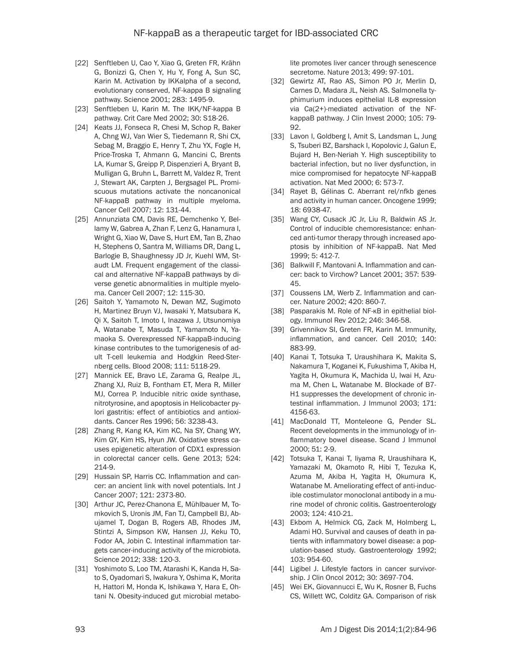- [22] Senftleben U, Cao Y, Xiao G, Greten FR, Krähn G, Bonizzi G, Chen Y, Hu Y, Fong A, Sun SC, Karin M. Activation by IKKalpha of a second, evolutionary conserved, NF-kappa B signaling pathway. Science 2001; 283: 1495-9.
- [23] Senftleben U, Karin M. The IKK/NF-kappa B pathway. Crit Care Med 2002; 30: S18-26.
- [24] Keats JJ, Fonseca R, Chesi M, Schop R, Baker A, Chng WJ, Van Wier S, Tiedemann R, Shi CX, Sebag M, Braggio E, Henry T, Zhu YX, Fogle H, Price-Troska T, Ahmann G, Mancini C, Brents LA, Kumar S, Greipp P, Dispenzieri A, Bryant B, Mulligan G, Bruhn L, Barrett M, Valdez R, Trent J, Stewart AK, Carpten J, Bergsagel PL. Promiscuous mutations activate the noncanonical NF-kappaB pathway in multiple myeloma. Cancer Cell 2007; 12: 131-44.
- [25] Annunziata CM, Davis RE, Demchenko Y, Bellamy W, Gabrea A, Zhan F, Lenz G, Hanamura I, Wright G, Xiao W, Dave S, Hurt EM, Tan B, Zhao H, Stephens O, Santra M, Williams DR, Dang L, Barlogie B, Shaughnessy JD Jr, Kuehl WM, Staudt LM. Frequent engagement of the classical and alternative NF-kappaB pathways by diverse genetic abnormalities in multiple myeloma. Cancer Cell 2007; 12: 115-30.
- [26] Saitoh Y, Yamamoto N, Dewan MZ, Sugimoto H, Martinez Bruyn VJ, Iwasaki Y, Matsubara K, Qi X, Saitoh T, Imoto I, Inazawa J, Utsunomiya A, Watanabe T, Masuda T, Yamamoto N, Yamaoka S. Overexpressed NF-kappaB-inducing kinase contributes to the tumorigenesis of adult T-cell leukemia and Hodgkin Reed-Sternberg cells. Blood 2008; 111: 5118-29.
- [27] Mannick EE, Bravo LE, Zarama G, Realpe JL, Zhang XJ, Ruiz B, Fontham ET, Mera R, Miller MJ, Correa P. Inducible nitric oxide synthase, nitrotyrosine, and apoptosis in Helicobacter pylori gastritis: effect of antibiotics and antioxidants. Cancer Res 1996; 56: 3238-43.
- [28] Zhang R, Kang KA, Kim KC, Na SY, Chang WY, Kim GY, Kim HS, Hyun JW. Oxidative stress causes epigenetic alteration of CDX1 expression in colorectal cancer cells. Gene 2013; 524: 214-9.
- [29] Hussain SP, Harris CC. Inflammation and cancer: an ancient link with novel potentials. Int J Cancer 2007; 121: 2373-80.
- [30] Arthur JC, Perez-Chanona E, Mühlbauer M, Tomkovich S, Uronis JM, Fan TJ, Campbell BJ, Abujamel T, Dogan B, Rogers AB, Rhodes JM, Stintzi A, Simpson KW, Hansen JJ, Keku TO, Fodor AA, Jobin C. Intestinal inflammation targets cancer-inducing activity of the microbiota. Science 2012; 338: 120-3.
- [31] Yoshimoto S, Loo TM, Atarashi K, Kanda H, Sato S, Oyadomari S, Iwakura Y, Oshima K, Morita H, Hattori M, Honda K, Ishikawa Y, Hara E, Ohtani N. Obesity-induced gut microbial metabo-

lite promotes liver cancer through senescence secretome. Nature 2013; 499: 97-101.

- [32] Gewirtz AT, Rao AS, Simon PO Jr, Merlin D, Carnes D, Madara JL, Neish AS. Salmonella typhimurium induces epithelial IL-8 expression via Ca(2+)-mediated activation of the NFkappaB pathway. J Clin Invest 2000; 105: 79- 92.
- [33] Lavon I, Goldberg I, Amit S, Landsman L, Jung S, Tsuberi BZ, Barshack I, Kopolovic J, Galun E, Bujard H, Ben-Neriah Y. High susceptibility to bacterial infection, but no liver dysfunction, in mice compromised for hepatocyte NF-kappaB activation. Nat Med 2000; 6: 573-7.
- [34] Rayet B, Gélinas C. Aberrant rel/nfkb genes and activity in human cancer. Oncogene 1999; 18: 6938-47.
- [35] Wang CY, Cusack JC Jr, Liu R, Baldwin AS Jr. Control of inducible chemoresistance: enhanced anti-tumor therapy through increased apoptosis by inhibition of NF-kappaB. Nat Med 1999; 5: 412-7.
- [36] Balkwill F, Mantovani A. Inflammation and cancer: back to Virchow? Lancet 2001; 357: 539- 45.
- [37] Coussens LM, Werb Z. Inflammation and cancer. Nature 2002; 420: 860-7.
- [38] Pasparakis M. Role of NF-KB in epithelial biology. Immunol Rev 2012; 246: 346-58.
- [39] Grivennikov SI, Greten FR, Karin M. Immunity, inflammation, and cancer. Cell 2010; 140: 883-99.
- [40] Kanai T, Totsuka T, Uraushihara K, Makita S, Nakamura T, Koganei K, Fukushima T, Akiba H, Yagita H, Okumura K, Machida U, Iwai H, Azuma M, Chen L, Watanabe M. Blockade of B7- H1 suppresses the development of chronic intestinal inflammation. J Immunol 2003; 171: 4156-63.
- [41] MacDonald TT, Monteleone G, Pender SL. Recent developments in the immunology of inflammatory bowel disease. Scand J Immunol 2000; 51: 2-9.
- [42] Totsuka T, Kanai T, Iiyama R, Uraushihara K, Yamazaki M, Okamoto R, Hibi T, Tezuka K, Azuma M, Akiba H, Yagita H, Okumura K, Watanabe M. Ameliorating effect of anti-inducible costimulator monoclonal antibody in a murine model of chronic colitis. Gastroenterology 2003; 124: 410-21.
- [43] Ekbom A, Helmick CG, Zack M, Holmberg L, Adami HO. Survival and causes of death in patients with inflammatory bowel disease: a population-based study. Gastroenterology 1992; 103: 954-60.
- [44] Ligibel J. Lifestyle factors in cancer survivorship. J Clin Oncol 2012; 30: 3697-704.
- [45] Wei EK, Giovannucci E, Wu K, Rosner B, Fuchs CS, Willett WC, Colditz GA. Comparison of risk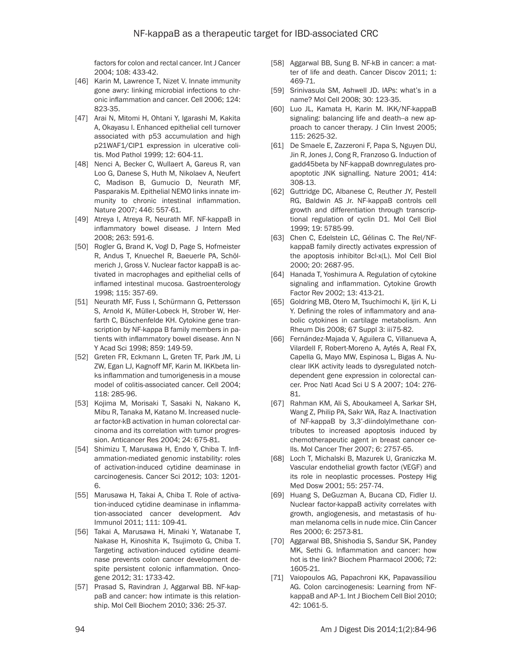factors for colon and rectal cancer. Int J Cancer 2004; 108: 433-42.

- [46] Karin M, Lawrence T, Nizet V. Innate immunity gone awry: linking microbial infections to chronic inflammation and cancer. Cell 2006; 124: 823-35.
- [47] Arai N, Mitomi H, Ohtani Y, Igarashi M, Kakita A, Okayasu I. Enhanced epithelial cell turnover associated with p53 accumulation and high p21WAF1/CIP1 expression in ulcerative colitis. Mod Pathol 1999; 12: 604-11.
- [48] Nenci A, Becker C, Wullaert A, Gareus R, van Loo G, Danese S, Huth M, Nikolaev A, Neufert C, Madison B, Gumucio D, Neurath MF, Pasparakis M. Epithelial NEMO links innate immunity to chronic intestinal inflammation. Nature 2007; 446: 557-61.
- [49] Atreya I, Atreya R, Neurath MF. NF-kappaB in inflammatory bowel disease. J Intern Med 2008; 263: 591-6.
- [50] Rogler G, Brand K, Vogl D, Page S, Hofmeister R, Andus T, Knuechel R, Baeuerle PA, Schölmerich J, Gross V. Nuclear factor kappaB is activated in macrophages and epithelial cells of inflamed intestinal mucosa. Gastroenterology 1998; 115: 357-69.
- [51] Neurath MF, Fuss I, Schürmann G, Pettersson S, Arnold K, Müller-Lobeck H, Strober W, Herfarth C, Büschenfelde KH. Cytokine gene transcription by NF-kappa B family members in patients with inflammatory bowel disease. Ann N Y Acad Sci 1998; 859: 149-59.
- [52] Greten FR, Eckmann L, Greten TF, Park JM, Li ZW, Egan LJ, Kagnoff MF, Karin M. IKKbeta links inflammation and tumorigenesis in a mouse model of colitis-associated cancer. Cell 2004; 118: 285-96.
- [53] Kojima M, Morisaki T, Sasaki N, Nakano K, Mibu R, Tanaka M, Katano M. Increased nuclear factor-kB activation in human colorectal carcinoma and its correlation with tumor progression. Anticancer Res 2004; 24: 675-81.
- [54] Shimizu T, Marusawa H, Endo Y, Chiba T. Inflammation-mediated genomic instability: roles of activation-induced cytidine deaminase in carcinogenesis. Cancer Sci 2012; 103: 1201- 6.
- [55] Marusawa H, Takai A, Chiba T. Role of activation-induced cytidine deaminase in inflammation-associated cancer development. Adv Immunol 2011; 111: 109-41.
- [56] Takai A, Marusawa H, Minaki Y, Watanabe T, Nakase H, Kinoshita K, Tsujimoto G, Chiba T. Targeting activation-induced cytidine deaminase prevents colon cancer development despite persistent colonic inflammation. Oncogene 2012; 31: 1733-42.
- [57] Prasad S, Ravindran J, Aggarwal BB. NF-kappaB and cancer: how intimate is this relationship. Mol Cell Biochem 2010; 336: 25-37.
- [58] Aggarwal BB, Sung B. NF-kB in cancer: a matter of life and death. Cancer Discov 2011; 1: 469-71.
- [59] Srinivasula SM, Ashwell JD. IAPs: what's in a name? Mol Cell 2008; 30: 123-35.
- [60] Luo JL, Kamata H, Karin M. IKK/NF-kappaB signaling: balancing life and death--a new approach to cancer therapy. J Clin Invest 2005; 115: 2625-32.
- [61] De Smaele E, Zazzeroni F, Papa S, Nguyen DU, Jin R, Jones J, Cong R, Franzoso G. Induction of gadd45beta by NF-kappaB downregulates proapoptotic JNK signalling. Nature 2001; 414: 308-13.
- [62] Guttridge DC, Albanese C, Reuther JY, Pestell RG, Baldwin AS Jr. NF-kappaB controls cell growth and differentiation through transcriptional regulation of cyclin D1. Mol Cell Biol 1999; 19: 5785-99.
- [63] Chen C, Edelstein LC, Gélinas C. The Rel/NFkappaB family directly activates expression of the apoptosis inhibitor Bcl-x(L). Mol Cell Biol 2000; 20: 2687-95.
- [64] Hanada T, Yoshimura A. Regulation of cytokine signaling and inflammation. Cytokine Growth Factor Rev 2002; 13: 413-21.
- [65] Goldring MB, Otero M, Tsuchimochi K, Ijiri K, Li Y. Defining the roles of inflammatory and anabolic cytokines in cartilage metabolism. Ann Rheum Dis 2008; 67 Suppl 3: iii75-82.
- [66] Fernández-Majada V, Aguilera C, Villanueva A, Vilardell F, Robert-Moreno A, Aytés A, Real FX, Capella G, Mayo MW, Espinosa L, Bigas A. Nuclear IKK activity leads to dysregulated notchdependent gene expression in colorectal cancer. Proc Natl Acad Sci U S A 2007; 104: 276- 81.
- [67] Rahman KM, Ali S, Aboukameel A, Sarkar SH, Wang Z, Philip PA, Sakr WA, Raz A. Inactivation of NF-kappaB by 3,3'-diindolylmethane contributes to increased apoptosis induced by chemotherapeutic agent in breast cancer cells. Mol Cancer Ther 2007; 6: 2757-65.
- [68] Loch T, Michalski B, Mazurek U, Graniczka M. Vascular endothelial growth factor (VEGF) and its role in neoplastic processes. Postepy Hig Med Dosw 2001; 55: 257-74.
- [69] Huang S, DeGuzman A, Bucana CD, Fidler IJ. Nuclear factor-kappaB activity correlates with growth, angiogenesis, and metastasis of human melanoma cells in nude mice. Clin Cancer Res 2000; 6: 2573-81.
- [70] Aggarwal BB, Shishodia S, Sandur SK, Pandey MK, Sethi G. Inflammation and cancer: how hot is the link? Biochem Pharmacol 2006; 72: 1605-21.
- [71] Vaiopoulos AG, Papachroni KK, Papavassiliou AG. Colon carcinogenesis: Learning from NFkappaB and AP-1. Int J Biochem Cell Biol 2010; 42: 1061-5.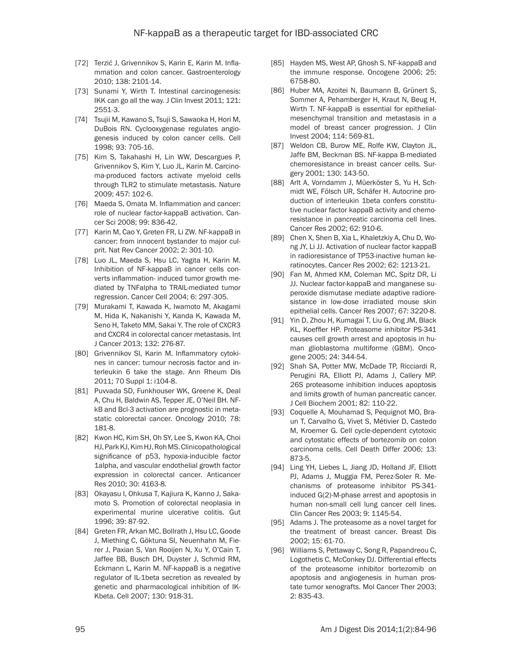- [72] Terzić J, Grivennikov S, Karin E, Karin M. Inflammation and colon cancer. Gastroenterology 2010; 138: 2101-14.
- [73] Sunami Y, Wirth T. Intestinal carcinogenesis: IKK can go all the way. J Clin Invest 2011; 121: 2551-3.
- [74] Tsujii M, Kawano S, Tsuji S, Sawaoka H, Hori M, DuBois RN. Cyclooxygenase regulates angiogenesis induced by colon cancer cells. Cell 1998; 93: 705-16.
- [75] Kim S, Takahashi H, Lin WW, Descargues P, Grivennikov S, Kim Y, Luo JL, Karin M. Carcinoma-produced factors activate myeloid cells through TLR2 to stimulate metastasis. Nature 2009; 457: 102-6.
- [76] Maeda S, Omata M. Inflammation and cancer: role of nuclear factor-kappaB activation. Cancer Sci 2008; 99: 836-42.
- [77] Karin M, Cao Y, Greten FR, Li ZW. NF-kappaB in cancer: from innocent bystander to major culprit. Nat Rev Cancer 2002; 2: 301-10.
- [78] Luo JL, Maeda S, Hsu LC, Yagita H, Karin M. Inhibition of NF-kappaB in cancer cells converts inflammation- induced tumor growth mediated by TNFalpha to TRAIL-mediated tumor regression. Cancer Cell 2004; 6: 297-305.
- [79] Murakami T, Kawada K, Iwamoto M, Akagami M, Hida K, Nakanishi Y, Kanda K, Kawada M, Seno H, Taketo MM, Sakai Y. The role of CXCR3 and CXCR4 in colorectal cancer metastasis. Int J Cancer 2013; 132: 276-87.
- [80] Grivennikov SI, Karin M. Inflammatory cytokines in cancer: tumour necrosis factor and interleukin 6 take the stage. Ann Rheum Dis 2011; 70 Suppl 1: i104-8.
- [81] Puvvada SD, Funkhouser WK, Greene K, Deal A, Chu H, Baldwin AS, Tepper JE, O'Neil BH. NFkB and Bcl-3 activation are prognostic in metastatic colorectal cancer. Oncology 2010; 78: 181-8.
- [82] Kwon HC, Kim SH, Oh SY, Lee S, Kwon KA, Choi HJ, Park KJ, Kim HJ, Roh MS. Clinicopathological significance of p53, hypoxia-inducible factor 1alpha, and vascular endothelial growth factor expression in colorectal cancer. Anticancer Res 2010; 30: 4163-8.
- [83] Okayasu I, Ohkusa T, Kajiura K, Kanno J, Sakamoto S. Promotion of colorectal neoplasia in experimental murine ulcerative colitis. Gut 1996; 39: 87-92.
- [84] Greten FR, Arkan MC, Bollrath J, Hsu LC, Goode J, Miething C, Göktuna SI, Neuenhahn M, Fierer J, Paxian S, Van Rooijen N, Xu Y, O'Cain T, Jaffee BB, Busch DH, Duyster J, Schmid RM, Eckmann L, Karin M. NF-kappaB is a negative regulator of IL-1beta secretion as revealed by genetic and pharmacological inhibition of IK-Kbeta. Cell 2007; 130: 918-31.
- [85] Hayden MS, West AP, Ghosh S. NF-kappaB and the immune response. Oncogene 2006; 25: 6758-80.
- [86] Huber MA, Azoitei N, Baumann B, Grünert S, Sommer A, Pehamberger H, Kraut N, Beug H, Wirth T. NF-kappaB is essential for epithelialmesenchymal transition and metastasis in a model of breast cancer progression. J Clin Invest 2004; 114: 569-81.
- [87] Weldon CB, Burow ME, Rolfe KW, Clayton JL, Jaffe BM, Beckman BS. NF-kappa B-mediated chemoresistance in breast cancer cells. Surgery 2001; 130: 143-50.
- [88] Arlt A, Vorndamm J, Müerköster S, Yu H, Schmidt WE, Fölsch UR, Schäfer H. Autocrine production of interleukin 1beta confers constitutive nuclear factor kappaB activity and chemoresistance in pancreatic carcinoma cell lines. Cancer Res 2002; 62: 910-6.
- [89] Chen X, Shen B, Xia L, Khaletzkiy A, Chu D, Wong JY, Li JJ. Activation of nuclear factor kappaB in radioresistance of TP53-inactive human keratinocytes. Cancer Res 2002; 62: 1213-21.
- [90] Fan M, Ahmed KM, Coleman MC, Spitz DR, Li JJ. Nuclear factor-kappaB and manganese superoxide dismutase mediate adaptive radioresistance in low-dose irradiated mouse skin epithelial cells. Cancer Res 2007; 67: 3220-8.
- [91] Yin D, Zhou H, Kumagai T, Liu G, Ong JM, Black KL, Koeffler HP. Proteasome inhibitor PS-341 causes cell growth arrest and apoptosis in human glioblastoma multiforme (GBM). Oncogene 2005; 24: 344-54.
- [92] Shah SA, Potter MW, McDade TP, Ricciardi R, Perugini RA, Elliott PJ, Adams J, Callery MP. 26S proteasome inhibition induces apoptosis and limits growth of human pancreatic cancer. J Cell Biochem 2001; 82: 110-22.
- [93] Coquelle A, Mouhamad S, Pequignot MO, Braun T, Carvalho G, Vivet S, Métivier D, Castedo M, Kroemer G. Cell cycle-dependent cytotoxic and cytostatic effects of bortezomib on colon carcinoma cells. Cell Death Differ 2006; 13: 873-5.
- [94] Ling YH, Liebes L, Jiang JD, Holland JF, Elliott PJ, Adams J, Muggia FM, Perez-Soler R. Mechanisms of proteasome inhibitor PS-341 induced G(2)-M-phase arrest and apoptosis in human non-small cell lung cancer cell lines. Clin Cancer Res 2003; 9: 1145-54.
- [95] Adams J. The proteasome as a novel target for the treatment of breast cancer. Breast Dis 2002; 15: 61-70.
- [96] Williams S, Pettaway C, Song R, Papandreou C, Logothetis C, McConkey DJ. Differential effects of the proteasome inhibitor bortezomib on apoptosis and angiogenesis in human prostate tumor xenografts. Mol Cancer Ther 2003; 2: 835-43.